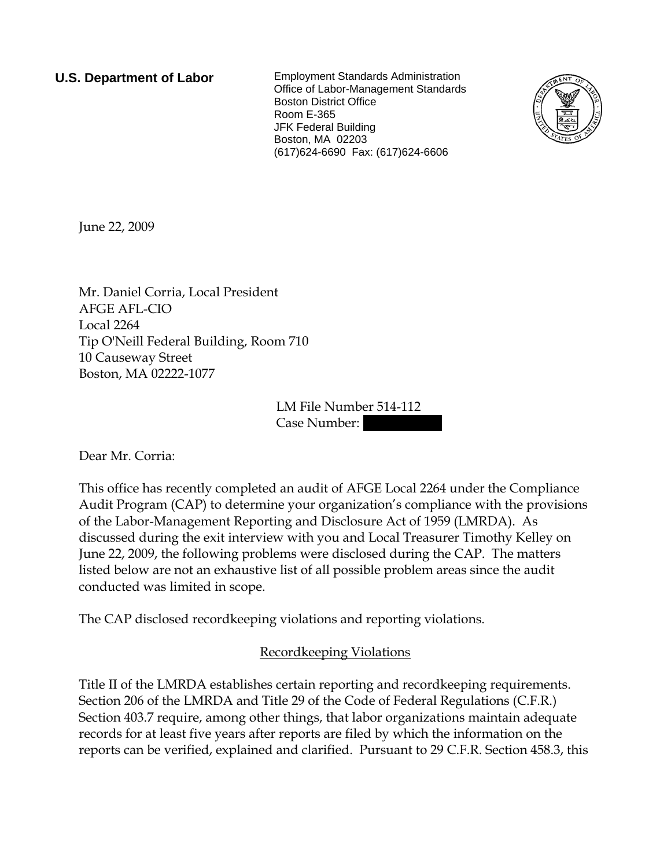**U.S. Department of Labor** Employment Standards Administration Office of Labor-Management Standards Boston District Office Room E-365 JFK Federal Building Boston, MA 02203 (617)624-6690 Fax: (617)624-6606



June 22, 2009

Mr. Daniel Corria, Local President AFGE AFL-CIO Local 2264 Tip O'Neill Federal Building, Room 710 10 Causeway Street Boston, MA 02222-1077

> LM File Number 514-112 Case Number:

Dear Mr. Corria:

This office has recently completed an audit of AFGE Local 2264 under the Compliance Audit Program (CAP) to determine your organization's compliance with the provisions of the Labor-Management Reporting and Disclosure Act of 1959 (LMRDA). As discussed during the exit interview with you and Local Treasurer Timothy Kelley on June 22, 2009, the following problems were disclosed during the CAP. The matters listed below are not an exhaustive list of all possible problem areas since the audit conducted was limited in scope.

The CAP disclosed recordkeeping violations and reporting violations.

Recordkeeping Violations

Title II of the LMRDA establishes certain reporting and recordkeeping requirements. Section 206 of the LMRDA and Title 29 of the Code of Federal Regulations (C.F.R.) Section 403.7 require, among other things, that labor organizations maintain adequate records for at least five years after reports are filed by which the information on the reports can be verified, explained and clarified. Pursuant to 29 C.F.R. Section 458.3, this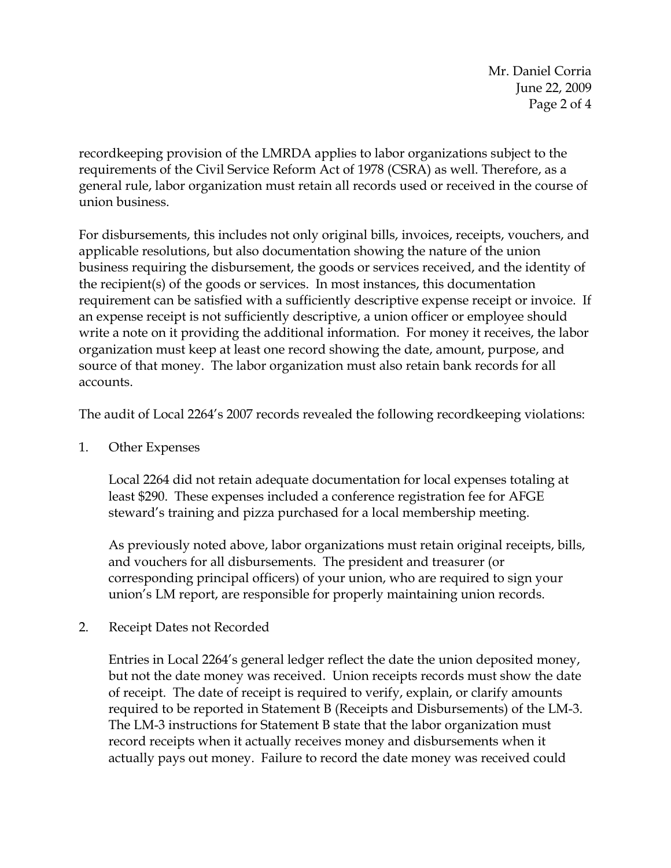Mr. Daniel Corria June 22, 2009 Page 2 of 4

recordkeeping provision of the LMRDA applies to labor organizations subject to the requirements of the Civil Service Reform Act of 1978 (CSRA) as well. Therefore, as a general rule, labor organization must retain all records used or received in the course of union business.

For disbursements, this includes not only original bills, invoices, receipts, vouchers, and applicable resolutions, but also documentation showing the nature of the union business requiring the disbursement, the goods or services received, and the identity of the recipient(s) of the goods or services. In most instances, this documentation requirement can be satisfied with a sufficiently descriptive expense receipt or invoice. If an expense receipt is not sufficiently descriptive, a union officer or employee should write a note on it providing the additional information. For money it receives, the labor organization must keep at least one record showing the date, amount, purpose, and source of that money. The labor organization must also retain bank records for all accounts.

The audit of Local 2264's 2007 records revealed the following recordkeeping violations:

1. Other Expenses

Local 2264 did not retain adequate documentation for local expenses totaling at least \$290. These expenses included a conference registration fee for AFGE steward's training and pizza purchased for a local membership meeting.

As previously noted above, labor organizations must retain original receipts, bills, and vouchers for all disbursements. The president and treasurer (or corresponding principal officers) of your union, who are required to sign your union's LM report, are responsible for properly maintaining union records.

2. Receipt Dates not Recorded

Entries in Local 2264's general ledger reflect the date the union deposited money, but not the date money was received. Union receipts records must show the date of receipt. The date of receipt is required to verify, explain, or clarify amounts required to be reported in Statement B (Receipts and Disbursements) of the LM-3. The LM-3 instructions for Statement B state that the labor organization must record receipts when it actually receives money and disbursements when it actually pays out money. Failure to record the date money was received could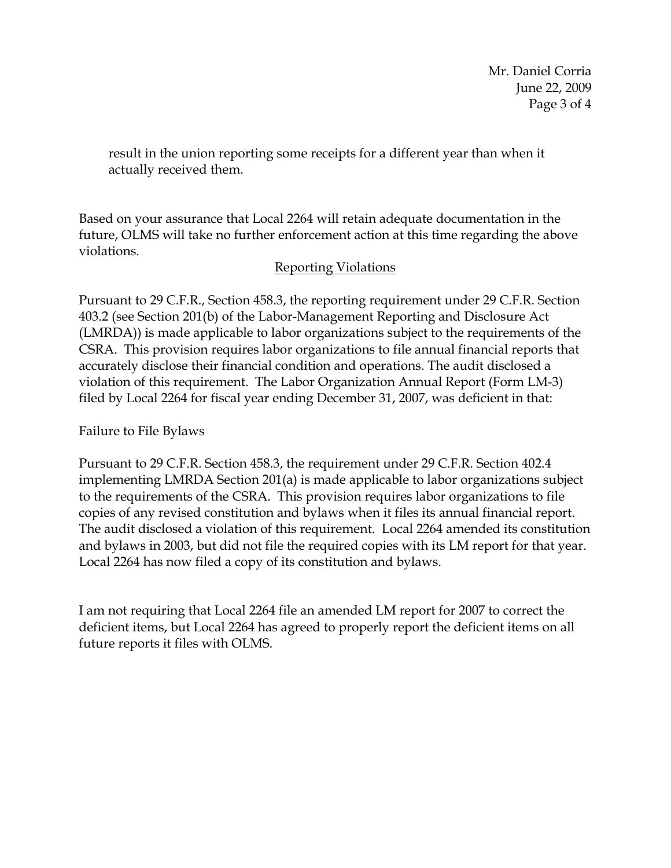Mr. Daniel Corria June 22, 2009 Page 3 of 4

result in the union reporting some receipts for a different year than when it actually received them.

Based on your assurance that Local 2264 will retain adequate documentation in the future, OLMS will take no further enforcement action at this time regarding the above violations.

## Reporting Violations

Pursuant to 29 C.F.R., Section 458.3, the reporting requirement under 29 C.F.R. Section 403.2 (see Section 201(b) of the Labor-Management Reporting and Disclosure Act (LMRDA)) is made applicable to labor organizations subject to the requirements of the CSRA. This provision requires labor organizations to file annual financial reports that accurately disclose their financial condition and operations. The audit disclosed a violation of this requirement. The Labor Organization Annual Report (Form LM-3) filed by Local 2264 for fiscal year ending December 31, 2007, was deficient in that:

Failure to File Bylaws

Pursuant to 29 C.F.R. Section 458.3, the requirement under 29 C.F.R. Section 402.4 implementing LMRDA Section 201(a) is made applicable to labor organizations subject to the requirements of the CSRA. This provision requires labor organizations to file copies of any revised constitution and bylaws when it files its annual financial report. The audit disclosed a violation of this requirement. Local 2264 amended its constitution and bylaws in 2003, but did not file the required copies with its LM report for that year. Local 2264 has now filed a copy of its constitution and bylaws.

I am not requiring that Local 2264 file an amended LM report for 2007 to correct the deficient items, but Local 2264 has agreed to properly report the deficient items on all future reports it files with OLMS.